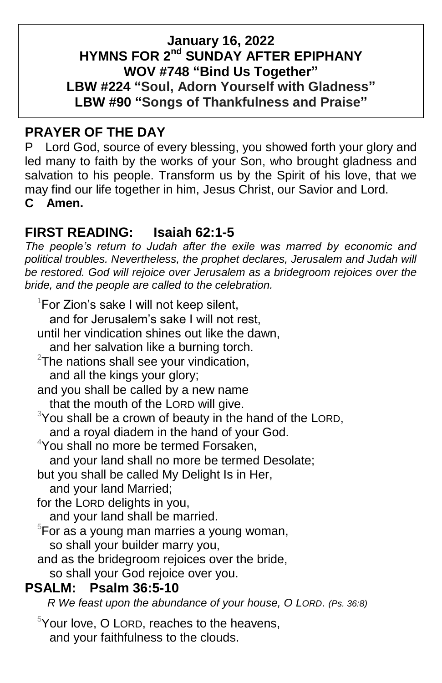## **January 16, 2022 HYMNS FOR 2 nd SUNDAY AFTER EPIPHANY WOV #748 "Bind Us Together" LBW #224 "Soul, Adorn Yourself with Gladness" LBW #90 "Songs of Thankfulness and Praise"**

# **PRAYER OF THE DAY**

P Lord God, source of every blessing, you showed forth your glory and led many to faith by the works of your Son, who brought gladness and salvation to his people. Transform us by the Spirit of his love, that we may find our life together in him, Jesus Christ, our Savior and Lord. **C Amen.**

## **FIRST READING: Isaiah 62:1-5**

*The people's return to Judah after the exile was marred by economic and*  political troubles. Nevertheless, the prophet declares, Jerusalem and Judah will be restored. God will rejoice over Jerusalem as a bridegroom rejoices over the *bride, and the people are called to the celebration.*

 $1$ For Zion's sake I will not keep silent, and for Jerusalem's sake I will not rest, until her vindication shines out like the dawn, and her salvation like a burning torch.  $2$ The nations shall see your vindication, and all the kings your glory; and you shall be called by a new name that the mouth of the LORD will give.  $3$ You shall be a crown of beauty in the hand of the LORD, and a royal diadem in the hand of your God. <sup>4</sup>You shall no more be termed Forsaken. and your land shall no more be termed Desolate; but you shall be called My Delight Is in Her, and your land Married; for the LORD delights in you, and your land shall be married.  $5$ For as a young man marries a young woman, so shall your builder marry you, and as the bridegroom rejoices over the bride, so shall your God rejoice over you. **PSALM: Psalm 36:5-10**

 *R We feast upon the abundance of your house, O LORD*. *(Ps. 36:8)*

 $5$ Your love, O LORD, reaches to the heavens, and your faithfulness to the clouds.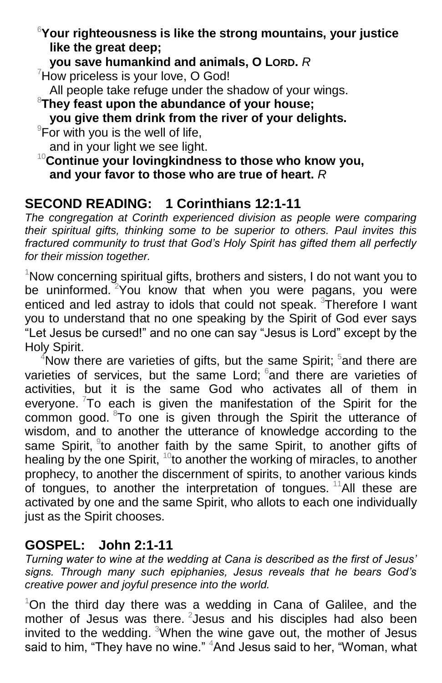<sup>6</sup>**Your righteousness is like the strong mountains, your justice like the great deep;**

**you save humankind and animals, O LORD.** *R*

 $7$ How priceless is your love, O God!

All people take refuge under the shadow of your wings.

<sup>8</sup>**They feast upon the abundance of your house;**

**you give them drink from the river of your delights.**

 $\overline{P}$  For with you is the well of life,

and in your light we see light.

<sup>10</sup>**Continue your lovingkindness to those who know you, and your favor to those who are true of heart.** *R*

# **SECOND READING: 1 Corinthians 12:1-11**

*The congregation at Corinth experienced division as people were comparing their spiritual gifts, thinking some to be superior to others. Paul invites this fractured community to trust that God's Holy Spirit has gifted them all perfectly for their mission together.*

<sup>1</sup>Now concerning spiritual gifts, brothers and sisters, I do not want you to be uninformed. <sup>2</sup>You know that when you were pagans, you were enticed and led astray to idols that could not speak. <sup>3</sup>Therefore I want you to understand that no one speaking by the Spirit of God ever says "Let Jesus be cursed!" and no one can say "Jesus is Lord" except by the Holy Spirit.

 $4$ Now there are varieties of gifts, but the same Spirit;  $5$  and there are varieties of services, but the same Lord; and there are varieties of activities, but it is the same God who activates all of them in everyone.  $7$ To each is given the manifestation of the Spirit for the common good. <sup>8</sup>To one is given through the Spirit the utterance of wisdom, and to another the utterance of knowledge according to the same Spirit, <sup>9</sup>to another faith by the same Spirit, to another gifts of healing by the one Spirit,  $10$  to another the working of miracles, to another prophecy, to another the discernment of spirits, to another various kinds of tongues, to another the interpretation of tongues.  $11$ All these are activated by one and the same Spirit, who allots to each one individually just as the Spirit chooses.

# **GOSPEL: John 2:1-11**

*Turning water to wine at the wedding at Cana is described as the first of Jesus' signs. Through many such epiphanies, Jesus reveals that he bears God's creative power and joyful presence into the world.*

 $1$ On the third day there was a wedding in Cana of Galilee, and the mother of Jesus was there. <sup>2</sup> Jesus and his disciples had also been invited to the wedding. <sup>3</sup>When the wine gave out, the mother of Jesus said to him, "They have no wine." <sup>4</sup>And Jesus said to her, "Woman, what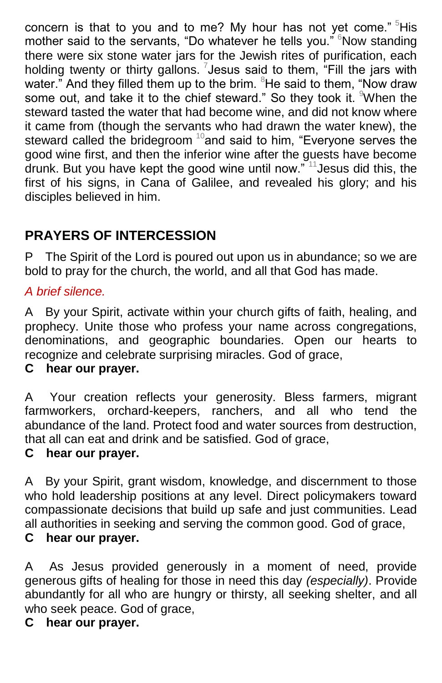concern is that to you and to me? My hour has not yet come."  $5$ His mother said to the servants, "Do whatever he tells you." <sup>6</sup>Now standing there were six stone water jars for the Jewish rites of purification, each holding twenty or thirty gallons. <sup>7</sup> Jesus said to them, "Fill the jars with water." And they filled them up to the brim.  $8$ He said to them, "Now draw some out, and take it to the chief steward." So they took it. When the steward tasted the water that had become wine, and did not know where it came from (though the servants who had drawn the water knew), the steward called the bridegroom  $10$  and said to him, "Everyone serves the good wine first, and then the inferior wine after the guests have become drunk. But you have kept the good wine until now." <sup>11</sup>Jesus did this, the first of his signs, in Cana of Galilee, and revealed his glory; and his disciples believed in him.

# **PRAYERS OF INTERCESSION**

P The Spirit of the Lord is poured out upon us in abundance; so we are bold to pray for the church, the world, and all that God has made.

#### *A brief silence.*

A By your Spirit, activate within your church gifts of faith, healing, and prophecy. Unite those who profess your name across congregations, denominations, and geographic boundaries. Open our hearts to recognize and celebrate surprising miracles. God of grace,

#### **C hear our prayer.**

A Your creation reflects your generosity. Bless farmers, migrant farmworkers, orchard-keepers, ranchers, and all who tend the abundance of the land. Protect food and water sources from destruction, that all can eat and drink and be satisfied. God of grace,

#### **C hear our prayer.**

A By your Spirit, grant wisdom, knowledge, and discernment to those who hold leadership positions at any level. Direct policymakers toward compassionate decisions that build up safe and just communities. Lead all authorities in seeking and serving the common good. God of grace, **C hear our prayer.**

A As Jesus provided generously in a moment of need, provide generous gifts of healing for those in need this day *(especially)*. Provide abundantly for all who are hungry or thirsty, all seeking shelter, and all who seek peace. God of grace,

## **C hear our prayer.**